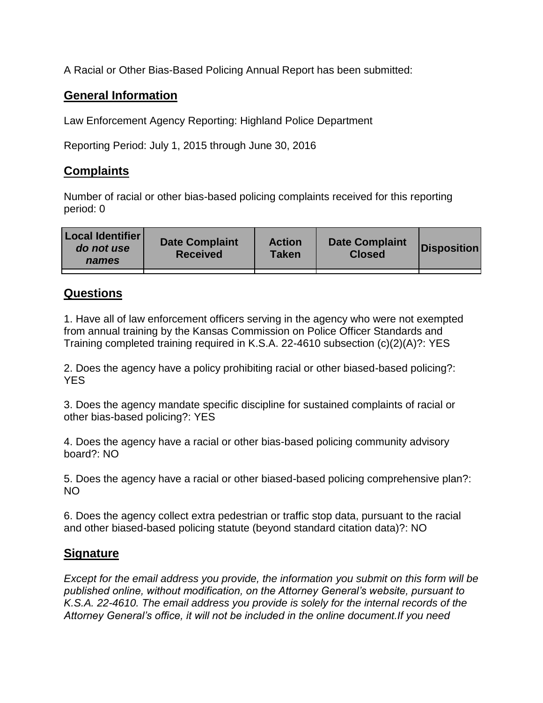A Racial or Other Bias-Based Policing Annual Report has been submitted:

## **General Information**

Law Enforcement Agency Reporting: Highland Police Department

Reporting Period: July 1, 2015 through June 30, 2016

## **Complaints**

Number of racial or other bias-based policing complaints received for this reporting period: 0

| <b>Local Identifier</b><br>do not use<br>names | <b>Date Complaint</b><br><b>Received</b> | <b>Action</b><br><b>Taken</b> | <b>Date Complaint</b><br><b>Closed</b> | Disposition |
|------------------------------------------------|------------------------------------------|-------------------------------|----------------------------------------|-------------|
|                                                |                                          |                               |                                        |             |

## **Questions**

1. Have all of law enforcement officers serving in the agency who were not exempted from annual training by the Kansas Commission on Police Officer Standards and Training completed training required in K.S.A. 22-4610 subsection (c)(2)(A)?: YES

2. Does the agency have a policy prohibiting racial or other biased-based policing?: YES

3. Does the agency mandate specific discipline for sustained complaints of racial or other bias-based policing?: YES

4. Does the agency have a racial or other bias-based policing community advisory board?: NO

5. Does the agency have a racial or other biased-based policing comprehensive plan?: NO

6. Does the agency collect extra pedestrian or traffic stop data, pursuant to the racial and other biased-based policing statute (beyond standard citation data)?: NO

## **Signature**

*Except for the email address you provide, the information you submit on this form will be published online, without modification, on the Attorney General's website, pursuant to K.S.A. 22-4610. The email address you provide is solely for the internal records of the Attorney General's office, it will not be included in the online document.If you need*